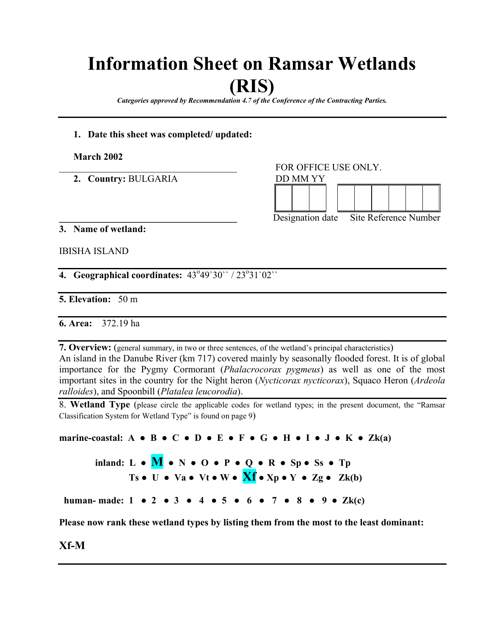# **Information Sheet on Ramsar Wetlands (RIS)**

*Categories approved by Recommendation 4.7 of the Conference of the Contracting Parties.*

#### **1. Date this sheet was completed/ updated:**

**March 2002**

**2. Country: BULGARIA** DD MM YY

#### FOR OFFICE USE ONLY.



Designation date Site Reference Number

**3. Name of wetland:**

IBISHA ISLAND

**4.** Geographical coordinates:  $43^{\circ}49^{\circ}30^{\circ}$  /  $23^{\circ}31^{\circ}02^{\circ}$ 

**5. Elevation:** 50 m

**6. Area:** 372.19 ha

**7. Overview:** (general summary, in two or three sentences, of the wetland's principal characteristics) An island in the Danube River (km 717) covered mainly by seasonally flooded forest. It is of global importance for the Pygmy Cormorant (*Phalacrocorax pygmeus*) as well as one of the most important sites in the country for the Night heron (*Nycticorax nycticorax*), Squaco Heron (*Ardeola ralloides*), and Spoonbill (*Platalea leucorodia*).

8. **Wetland Type** (please circle the applicable codes for wetland types; in the present document, the "Ramsar Classification System for Wetland Type" is found on page 9)

marine-coastal: A  $\bullet$  B  $\bullet$  C  $\bullet$  D  $\bullet$  E  $\bullet$  F  $\bullet$  G  $\bullet$  H  $\bullet$  I  $\bullet$  J  $\bullet$  K  $\bullet$  Zk(a)  **inland: L ● M ● N ● O ● P ● Q ● R ● Sp ● Ss ● Tp Ts ● U ● Va ● Vt ● W ● Xf ● Xp ● Y ● Zg ● Zk(b) human- made: 1 ● 2 ● 3 ● 4 ● 5 ● 6 ● 7 ● 8 ● 9 ● Zk(c)**

**Please now rank these wetland types by listing them from the most to the least dominant:**

**Xf-M**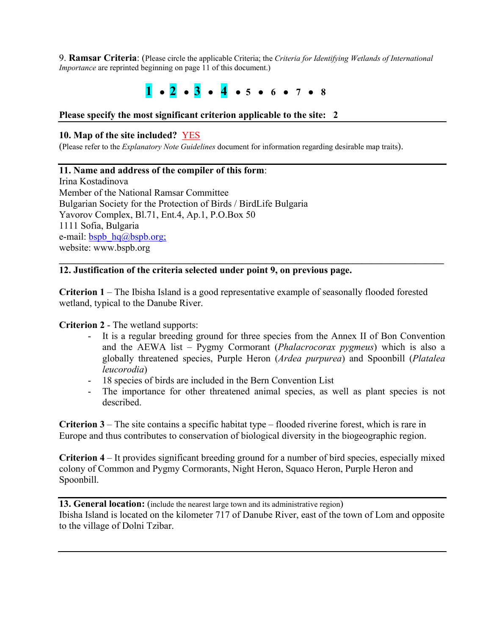9. **Ramsar Criteria**: (Please circle the applicable Criteria; the *Criteria for Identifying Wetlands of International Importance* are reprinted beginning on page 11 of this document.)

**1 ● 2 ● 3 ● 4 ● 5 ● 6 ● 7 ● 8**

#### **Please specify the most significant criterion applicable to the site: 2**

#### **10. Map of the site included?** YES

(Please refer to the *Explanatory Note Guidelines* document for information regarding desirable map traits).

### **11. Name and address of the compiler of this form**:

Irina Kostadinova Member of the National Ramsar Committee Bulgarian Society for the Protection of Birds / BirdLife Bulgaria Yavorov Complex, Bl.71, Ent.4, Ap.1, P.O.Box 50 1111 Sofia, Bulgaria e-mail: bspb  $hq@b$ spb.org; website: www.bspb.org **\_\_\_\_\_\_\_\_\_\_\_\_\_\_\_\_\_\_\_\_\_\_\_\_\_\_\_\_\_\_\_\_\_\_\_\_\_\_\_\_\_\_\_\_\_\_\_\_\_\_\_\_\_\_\_\_\_\_\_\_\_\_\_\_\_\_\_\_\_\_\_\_\_\_\_\_\_\_\_\_**

## **12. Justification of the criteria selected under point 9, on previous page.**

**Criterion 1** – The Ibisha Island is a good representative example of seasonally flooded forested wetland, typical to the Danube River.

#### **Criterion 2** - The wetland supports:

- It is a regular breeding ground for three species from the Annex II of Bon Convention and the AEWA list – Pygmy Cormorant (*Phalacrocorax pygmeus*) which is also a globally threatened species, Purple Heron (*Ardea purpurea*) and Spoonbill (*Platalea leucorodia*)
- 18 species of birds are included in the Bern Convention List
- The importance for other threatened animal species, as well as plant species is not described.

**Criterion 3** – The site contains a specific habitat type – flooded riverine forest, which is rare in Europe and thus contributes to conservation of biological diversity in the biogeographic region.

**Criterion 4** – It provides significant breeding ground for a number of bird species, especially mixed colony of Common and Pygmy Cormorants, Night Heron, Squaco Heron, Purple Heron and Spoonbill.

**13. General location:** (include the nearest large town and its administrative region) Ibisha Island is located on the kilometer 717 of Danube River, east of the town of Lom and opposite to the village of Dolni Tzibar.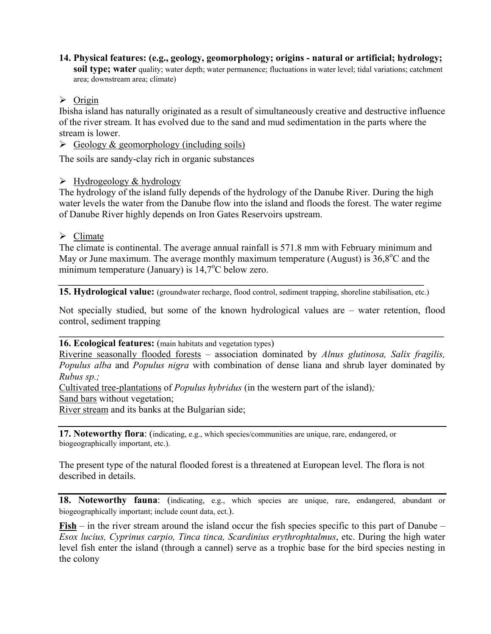#### **14. Physical features: (e.g., geology, geomorphology; origins - natural or artificial; hydrology; soil type; water** quality; water depth; water permanence; fluctuations in water level; tidal variations; catchment area; downstream area; climate)

## $\triangleright$  Origin

Ibisha island has naturally originated as a result of simultaneously creative and destructive influence of the river stream. It has evolved due to the sand and mud sedimentation in the parts where the stream is lower.

 $\triangleright$  Geology & geomorphology (including soils)

The soils are sandy-clay rich in organic substances

### $\triangleright$  Hydrogeology & hydrology

The hydrology of the island fully depends of the hydrology of the Danube River. During the high water levels the water from the Danube flow into the island and floods the forest. The water regime of Danube River highly depends on Iron Gates Reservoirs upstream.

#### $\triangleright$  Climate

The climate is continental. The average annual rainfall is 571.8 mm with February minimum and May or June maximum. The average monthly maximum temperature (August) is  $36,8^{\circ}$ C and the minimum temperature (January) is  $14,7^{\circ}$ C below zero.

*\_\_\_\_\_\_\_\_\_\_\_\_\_\_\_\_\_\_\_\_\_\_\_\_\_\_\_\_\_\_\_\_\_\_\_\_\_\_\_\_\_\_\_\_\_\_\_\_\_\_\_\_\_\_\_\_\_\_\_\_\_\_\_\_\_\_\_\_\_\_\_\_\_\_\_\_* **15. Hydrological value:** (groundwater recharge, flood control, sediment trapping, shoreline stabilisation, etc.)

Not specially studied, but some of the known hydrological values are – water retention, flood control, sediment trapping

**\_\_\_\_\_\_\_\_\_\_\_\_\_\_\_\_\_\_\_\_\_\_\_\_\_\_\_\_\_\_\_\_\_\_\_\_\_\_\_\_\_\_\_\_\_\_\_\_\_\_\_\_\_\_\_\_\_\_\_\_\_\_\_\_\_\_\_\_\_\_\_\_\_\_\_\_\_\_\_\_**

### **16. Ecological features:** (main habitats and vegetation types)

Riverine seasonally flooded forests – association dominated by *Alnus glutinosa, Salix fragilis, Populus alba* and *Populus nigra* with combination of dense liana and shrub layer dominated by *Rubus sp.;*

Cultivated tree-plantations of *Populus hybridus* (in the western part of the island)*;*

Sand bars without vegetation;

River stream and its banks at the Bulgarian side;

**17. Noteworthy flora**: (indicating, e.g., which species/communities are unique, rare, endangered, or biogeographically important, etc.).

The present type of the natural flooded forest is a threatened at European level. The flora is not described in details.

**18. Noteworthy fauna**: (indicating, e.g., which species are unique, rare, endangered, abundant or biogeographically important; include count data, ect.).

Fish – in the river stream around the island occur the fish species specific to this part of Danube – *Esox lucius, Cyprinus carpio, Tinca tinca, Scardinius erythrophtalmus*, etc. During the high water level fish enter the island (through a cannel) serve as a trophic base for the bird species nesting in the colony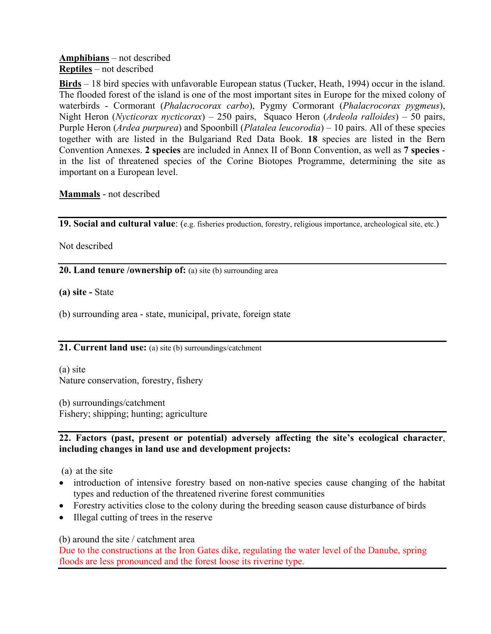### **Amphibians** – not described **Reptiles** – not described

**Birds** – 18 bird species with unfavorable European status (Tucker, Heath, 1994) occur in the island. The flooded forest of the island is one of the most important sites in Europe for the mixed colony of waterbirds - Cormorant (*Phalacrocorax carbo*), Pygmy Cormorant (*Phalacrocorax pygmeus*), Night Heron (*Nycticorax nycticorax*) – 250 pairs, Squaco Heron (*Ardeola ralloides*) – 50 pairs, Purple Heron (*Ardea purpurea*) and Spoonbill (*Platalea leucorodia*) – 10 pairs. All of these species together with are listed in the Bulgariand Red Data Book. **18** species are listed in the Bern Convention Annexes. **2 species** are included in Annex II of Bonn Convention, as well as **7 species** in the list of threatened species of the Corine Biotopes Programme, determining the site as important on a European level.

**Mammals** - not described

**19. Social and cultural value**: (e.g. fisheries production, forestry, religious importance, archeological site, etc.)

Not described

**20. Land tenure /ownership of:** (a) site (b) surrounding area

**(a) site -** State

(b) surrounding area - state, municipal, private, foreign state

#### **21. Current land use:** (a) site (b) surroundings/catchment

(a) site Nature conservation, forestry, fishery

(b) surroundings/catchment Fishery; shipping; hunting; agriculture

#### **22. Factors (past, present or potential) adversely affecting the site's ecological character**, **including changes in land use and development projects:**

(a) at the site

- introduction of intensive forestry based on non-native species cause changing of the habitat types and reduction of the threatened riverine forest communities
- Forestry activities close to the colony during the breeding season cause disturbance of birds
- Illegal cutting of trees in the reserve

(b) around the site / catchment area

Due to the constructions at the Iron Gates dike, regulating the water level of the Danube, spring floods are less pronounced and the forest loose its riverine type.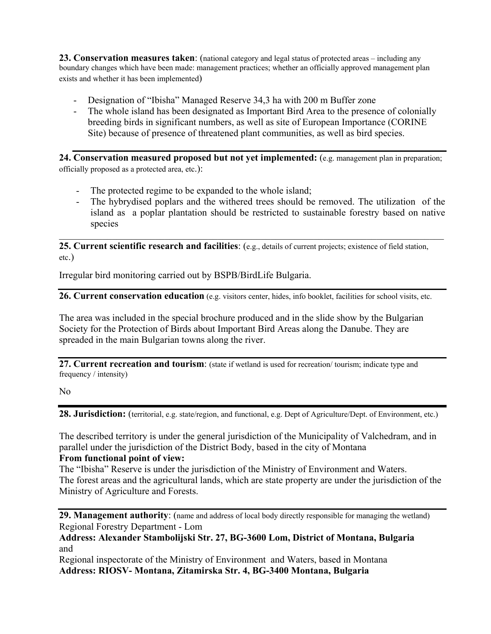**23. Conservation measures taken**: (national category and legal status of protected areas – including any boundary changes which have been made: management practices; whether an officially approved management plan exists and whether it has been implemented)

- Designation of "Ibisha" Managed Reserve 34,3 ha with 200 m Buffer zone
- The whole island has been designated as Important Bird Area to the presence of colonially breeding birds in significant numbers, as well as site of European Importance (CORINE Site) because of presence of threatened plant communities, as well as bird species.

**24. Conservation measured proposed but not yet implemented:** (e.g. management plan in preparation; officially proposed as a protected area, etc.):

- The protected regime to be expanded to the whole island;
- The hybrydised poplars and the withered trees should be removed. The utilization of the island as a poplar plantation should be restricted to sustainable forestry based on native species

**25. Current scientific research and facilities**: (e.g., details of current projects; existence of field station, etc.)

 $\mathcal{L}_\mathcal{L} = \{ \mathcal{L}_\mathcal{L} = \{ \mathcal{L}_\mathcal{L} = \{ \mathcal{L}_\mathcal{L} = \{ \mathcal{L}_\mathcal{L} = \{ \mathcal{L}_\mathcal{L} = \{ \mathcal{L}_\mathcal{L} = \{ \mathcal{L}_\mathcal{L} = \{ \mathcal{L}_\mathcal{L} = \{ \mathcal{L}_\mathcal{L} = \{ \mathcal{L}_\mathcal{L} = \{ \mathcal{L}_\mathcal{L} = \{ \mathcal{L}_\mathcal{L} = \{ \mathcal{L}_\mathcal{L} = \{ \mathcal{L}_\mathcal{$ 

Irregular bird monitoring carried out by BSPB/BirdLife Bulgaria.

**26. Current conservation education** (e.g. visitors center, hides, info booklet, facilities for school visits, etc.

The area was included in the special brochure produced and in the slide show by the Bulgarian Society for the Protection of Birds about Important Bird Areas along the Danube. They are spreaded in the main Bulgarian towns along the river.

27. Current recreation and tourism: (state if wetland is used for recreation/ tourism; indicate type and frequency / intensity)

No

28. Jurisdiction: (territorial, e.g. state/region, and functional, e.g. Dept of Agriculture/Dept. of Environment, etc.)

The described territory is under the general jurisdiction of the Municipality of Valchedram, and in parallel under the jurisdiction of the District Body, based in the city of Montana

## **From functional point of view:**

The "Ibisha" Reserve is under the jurisdiction of the Ministry of Environment and Waters. The forest areas and the agricultural lands, which are state property are under the jurisdiction of the Ministry of Agriculture and Forests.

**29. Management authority**: (name and address of local body directly responsible for managing the wetland) Regional Forestry Department - Lom

**Address: Alexander Stambolijski Str. 27, BG-3600 Lom, District of Montana, Bulgaria** and

Regional inspectorate of the Ministry of Environment and Waters, based in Montana **Address: RIOSV- Montana, Zitamirska Str. 4, BG-3400 Montana, Bulgaria**